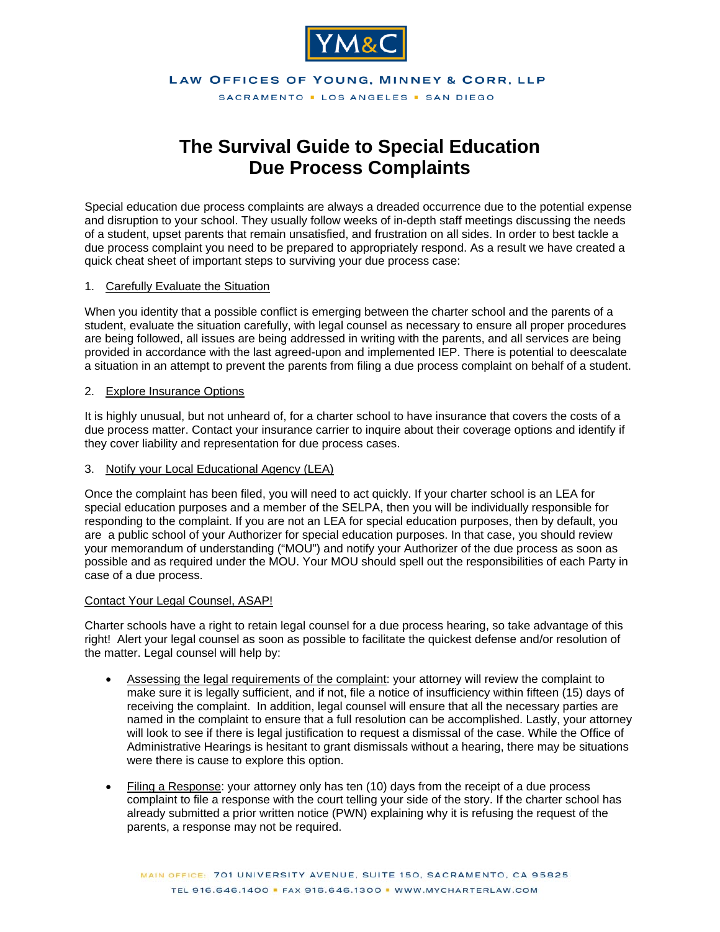

LAW OFFICES OF YOUNG, MINNEY & CORR, LLP

SACRAMENTO . LOS ANGELES . SAN DIEGO

# **The Survival Guide to Special Education Due Process Complaints**

Special education due process complaints are always a dreaded occurrence due to the potential expense and disruption to your school. They usually follow weeks of in-depth staff meetings discussing the needs of a student, upset parents that remain unsatisfied, and frustration on all sides. In order to best tackle a due process complaint you need to be prepared to appropriately respond. As a result we have created a quick cheat sheet of important steps to surviving your due process case:

#### 1. Carefully Evaluate the Situation

When you identity that a possible conflict is emerging between the charter school and the parents of a student, evaluate the situation carefully, with legal counsel as necessary to ensure all proper procedures are being followed, all issues are being addressed in writing with the parents, and all services are being provided in accordance with the last agreed-upon and implemented IEP. There is potential to deescalate a situation in an attempt to prevent the parents from filing a due process complaint on behalf of a student.

## 2. Explore Insurance Options

It is highly unusual, but not unheard of, for a charter school to have insurance that covers the costs of a due process matter. Contact your insurance carrier to inquire about their coverage options and identify if they cover liability and representation for due process cases.

## 3. Notify your Local Educational Agency (LEA)

Once the complaint has been filed, you will need to act quickly. If your charter school is an LEA for special education purposes and a member of the SELPA, then you will be individually responsible for responding to the complaint. If you are not an LEA for special education purposes, then by default, you are a public school of your Authorizer for special education purposes. In that case, you should review your memorandum of understanding ("MOU") and notify your Authorizer of the due process as soon as possible and as required under the MOU. Your MOU should spell out the responsibilities of each Party in case of a due process.

## Contact Your Legal Counsel, ASAP!

Charter schools have a right to retain legal counsel for a due process hearing, so take advantage of this right! Alert your legal counsel as soon as possible to facilitate the quickest defense and/or resolution of the matter. Legal counsel will help by:

- Assessing the legal requirements of the complaint: your attorney will review the complaint to make sure it is legally sufficient, and if not, file a notice of insufficiency within fifteen (15) days of receiving the complaint. In addition, legal counsel will ensure that all the necessary parties are named in the complaint to ensure that a full resolution can be accomplished. Lastly, your attorney will look to see if there is legal justification to request a dismissal of the case. While the Office of Administrative Hearings is hesitant to grant dismissals without a hearing, there may be situations were there is cause to explore this option.
- Filing a Response: your attorney only has ten (10) days from the receipt of a due process complaint to file a response with the court telling your side of the story. If the charter school has already submitted a prior written notice (PWN) explaining why it is refusing the request of the parents, a response may not be required.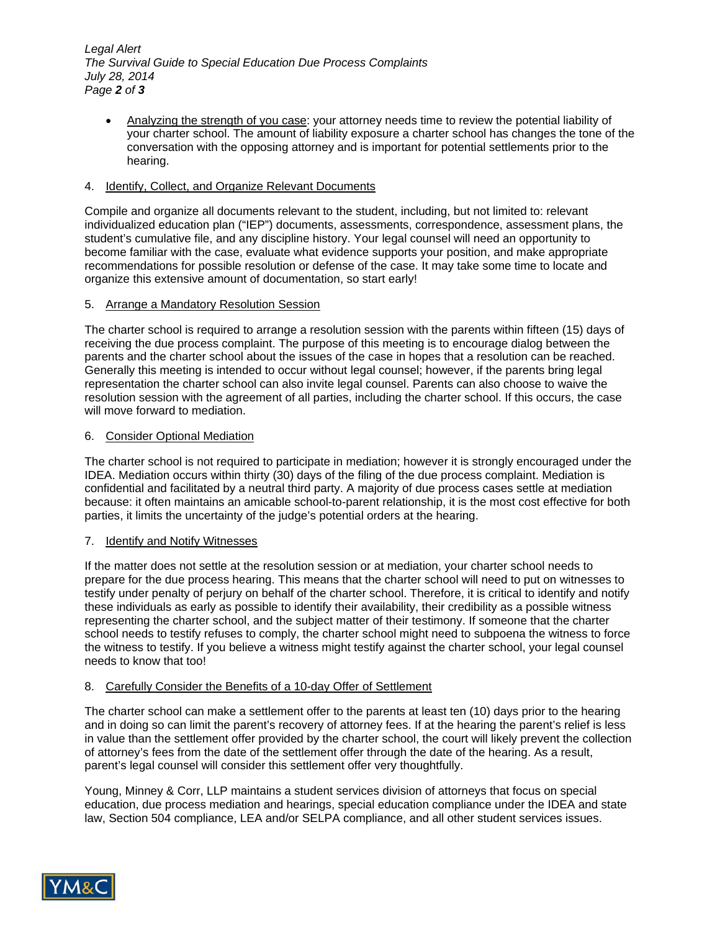*Legal Alert The Survival Guide to Special Education Due Process Complaints July 28, 2014 Page 2 of 3*

 Analyzing the strength of you case: your attorney needs time to review the potential liability of your charter school. The amount of liability exposure a charter school has changes the tone of the conversation with the opposing attorney and is important for potential settlements prior to the hearing.

## 4. Identify, Collect, and Organize Relevant Documents

Compile and organize all documents relevant to the student, including, but not limited to: relevant individualized education plan ("IEP") documents, assessments, correspondence, assessment plans, the student's cumulative file, and any discipline history. Your legal counsel will need an opportunity to become familiar with the case, evaluate what evidence supports your position, and make appropriate recommendations for possible resolution or defense of the case. It may take some time to locate and organize this extensive amount of documentation, so start early!

## 5. Arrange a Mandatory Resolution Session

The charter school is required to arrange a resolution session with the parents within fifteen (15) days of receiving the due process complaint. The purpose of this meeting is to encourage dialog between the parents and the charter school about the issues of the case in hopes that a resolution can be reached. Generally this meeting is intended to occur without legal counsel; however, if the parents bring legal representation the charter school can also invite legal counsel. Parents can also choose to waive the resolution session with the agreement of all parties, including the charter school. If this occurs, the case will move forward to mediation.

## 6. Consider Optional Mediation

The charter school is not required to participate in mediation; however it is strongly encouraged under the IDEA. Mediation occurs within thirty (30) days of the filing of the due process complaint. Mediation is confidential and facilitated by a neutral third party. A majority of due process cases settle at mediation because: it often maintains an amicable school-to-parent relationship, it is the most cost effective for both parties, it limits the uncertainty of the judge's potential orders at the hearing.

## 7. Identify and Notify Witnesses

If the matter does not settle at the resolution session or at mediation, your charter school needs to prepare for the due process hearing. This means that the charter school will need to put on witnesses to testify under penalty of perjury on behalf of the charter school. Therefore, it is critical to identify and notify these individuals as early as possible to identify their availability, their credibility as a possible witness representing the charter school, and the subject matter of their testimony. If someone that the charter school needs to testify refuses to comply, the charter school might need to subpoena the witness to force the witness to testify. If you believe a witness might testify against the charter school, your legal counsel needs to know that too!

## 8. Carefully Consider the Benefits of a 10-day Offer of Settlement

The charter school can make a settlement offer to the parents at least ten (10) days prior to the hearing and in doing so can limit the parent's recovery of attorney fees. If at the hearing the parent's relief is less in value than the settlement offer provided by the charter school, the court will likely prevent the collection of attorney's fees from the date of the settlement offer through the date of the hearing. As a result, parent's legal counsel will consider this settlement offer very thoughtfully.

Young, Minney & Corr, LLP maintains a student services division of attorneys that focus on special education, due process mediation and hearings, special education compliance under the IDEA and state law, Section 504 compliance, LEA and/or SELPA compliance, and all other student services issues.